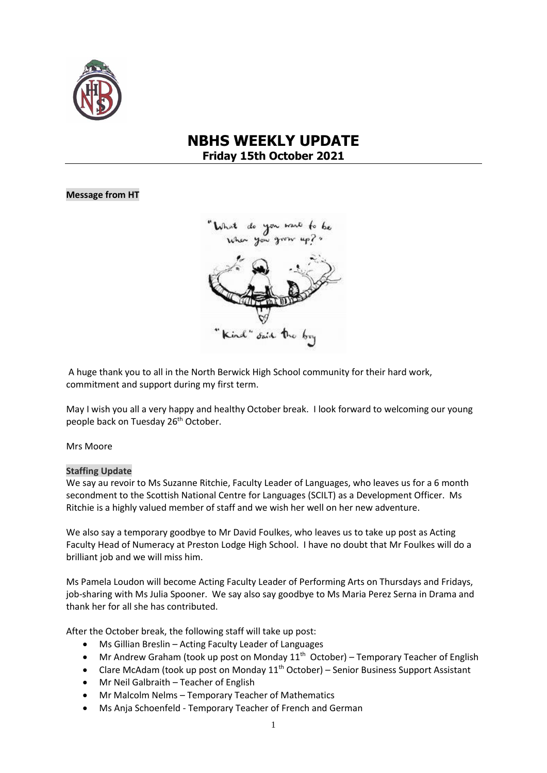

# **NBHS WEEKLY UPDATE Friday 15th October 2021**

#### **Message from HT**



A huge thank you to all in the North Berwick High School community for their hard work, commitment and support during my first term.

May I wish you all a very happy and healthy October break. I look forward to welcoming our young people back on Tuesday 26<sup>th</sup> October.

#### Mrs Moore

#### **Staffing Update**

We say au revoir to Ms Suzanne Ritchie, Faculty Leader of Languages, who leaves us for a 6 month secondment to the Scottish National Centre for Languages (SCILT) as a Development Officer. Ms Ritchie is a highly valued member of staff and we wish her well on her new adventure.

We also say a temporary goodbye to Mr David Foulkes, who leaves us to take up post as Acting Faculty Head of Numeracy at Preston Lodge High School. I have no doubt that Mr Foulkes will do a brilliant job and we will miss him.

Ms Pamela Loudon will become Acting Faculty Leader of Performing Arts on Thursdays and Fridays, job-sharing with Ms Julia Spooner. We say also say goodbye to Ms Maria Perez Serna in Drama and thank her for all she has contributed.

After the October break, the following staff will take up post:

- Ms Gillian Breslin Acting Faculty Leader of Languages
- Mr Andrew Graham (took up post on Monday 11<sup>th</sup> October) Temporary Teacher of English
- Clare McAdam (took up post on Monday  $11^{th}$  October) Senior Business Support Assistant
- Mr Neil Galbraith Teacher of English
- Mr Malcolm Nelms Temporary Teacher of Mathematics
- Ms Anja Schoenfeld Temporary Teacher of French and German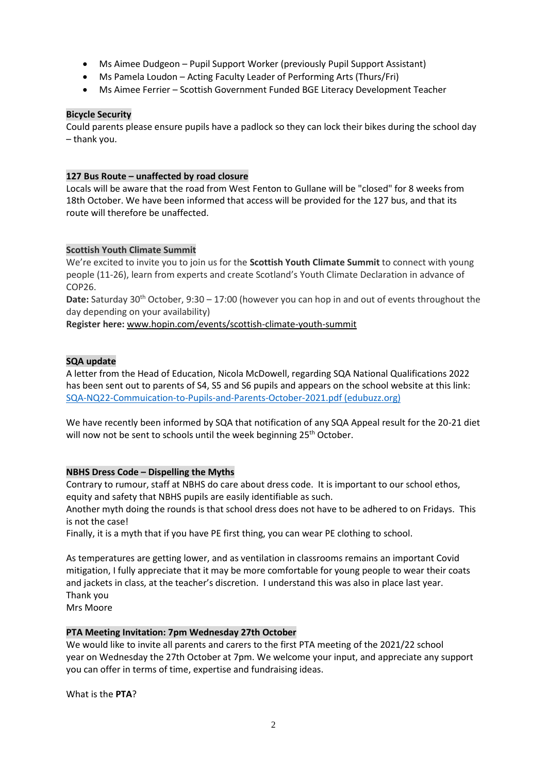- Ms Aimee Dudgeon Pupil Support Worker (previously Pupil Support Assistant)
- Ms Pamela Loudon Acting Faculty Leader of Performing Arts (Thurs/Fri)
- Ms Aimee Ferrier Scottish Government Funded BGE Literacy Development Teacher

#### **Bicycle Security**

Could parents please ensure pupils have a padlock so they can lock their bikes during the school day – thank you.

#### **127 Bus Route – unaffected by road closure**

Locals will be aware that the road from West Fenton to Gullane will be "closed" for 8 weeks from 18th October. We have been informed that access will be provided for the 127 bus, and that its route will therefore be unaffected.

#### **Scottish Youth Climate Summit**

We're excited to invite you to join us for the **Scottish Youth Climate Summit** to connect with young people (11-26), learn from experts and create Scotland's Youth Climate Declaration in advance of COP26.

**Date:** Saturday 30<sup>th</sup> October, 9:30 – 17:00 (however you can hop in and out of events throughout the day depending on your availability)

**Register here:** [www.hopin.com/events/scottish-climate-youth-summit](http://www.hopin.com/events/scottish-climate-youth-summit)

# **SQA update**

A letter from the Head of Education, Nicola McDowell, regarding SQA National Qualifications 2022 has been sent out to parents of S4, S5 and S6 pupils and appears on the school website at this link: [SQA-NQ22-Commuication-to-Pupils-and-Parents-October-2021.pdf \(edubuzz.org\)](https://www.edubuzz.org/northberwickhigh/wp-content/blogs.dir/894/files/2021/10/SQA-NQ22-Commuication-to-Pupils-and-Parents-October-2021.pdf)

We have recently been informed by SQA that notification of any SQA Appeal result for the 20-21 diet will now not be sent to schools until the week beginning 25<sup>th</sup> October.

#### **NBHS Dress Code – Dispelling the Myths**

Contrary to rumour, staff at NBHS do care about dress code. It is important to our school ethos, equity and safety that NBHS pupils are easily identifiable as such.

Another myth doing the rounds is that school dress does not have to be adhered to on Fridays. This is not the case!

Finally, it is a myth that if you have PE first thing, you can wear PE clothing to school.

As temperatures are getting lower, and as ventilation in classrooms remains an important Covid mitigation, I fully appreciate that it may be more comfortable for young people to wear their coats and jackets in class, at the teacher's discretion. I understand this was also in place last year. Thank you Mrs Moore

#### **PTA Meeting Invitation: 7pm Wednesday 27th October**

We would like to invite all parents and carers to the first PTA meeting of the 2021/22 school year on Wednesday the 27th October at 7pm. We welcome your input, and appreciate any support you can offer in terms of time, expertise and fundraising ideas.

What is the **PTA**?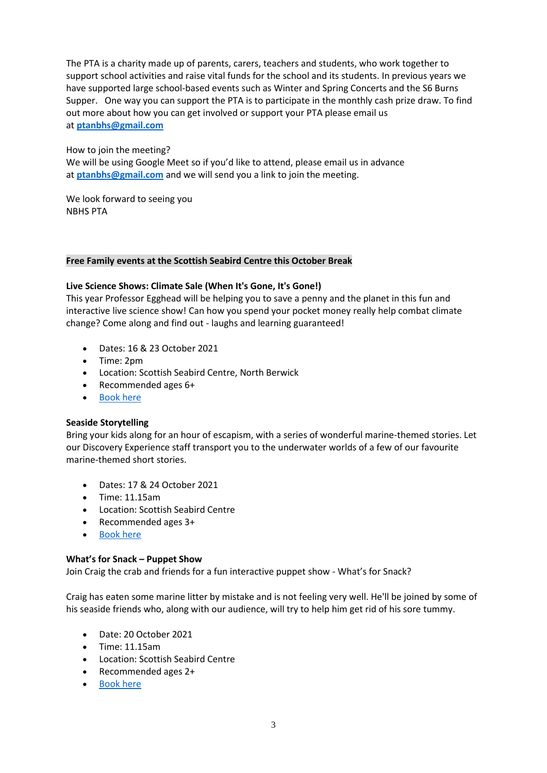The PTA is a charity made up of parents, carers, teachers and students, who work together to support school activities and raise vital funds for the school and its students. In previous years we have supported large school-based events such as Winter and Spring Concerts and the S6 Burns Supper. One way you can support the PTA is to participate in the monthly cash prize draw. To find out more about how you can get involved or support your PTA please email us at **[ptanbhs@gmail.com](mailto:ptanbhs@gmail.com)**

#### How to join the meeting? We will be using Google Meet so if you'd like to attend, please email us in advance at **[ptanbhs@gmail.com](mailto:ptanbhs@gmail.com)** and we will send you a link to join the meeting.

We look forward to seeing you NBHS PTA

#### **Free Family events at the Scottish Seabird Centre this October Break**

#### **Live Science Shows: Climate Sale (When It's Gone, It's Gone!)**

This year Professor Egghead will be helping you to save a penny and the planet in this fun and interactive live science show! Can how you spend your pocket money really help combat climate change? Come along and find out - laughs and learning guaranteed!

- Dates: 16 & 23 October 2021
- Time: 2pm
- Location: Scottish Seabird Centre, North Berwick
- Recommended ages 6+
- [Book here](https://www.eventbrite.co.uk/e/live-science-show-climate-sale-when-its-gone-its-gone-tickets-186617827947)

#### **Seaside Storytelling**

Bring your kids along for an hour of escapism, with a series of wonderful marine-themed stories. Let our Discovery Experience staff transport you to the underwater worlds of a few of our favourite marine-themed short stories.

- Dates: 17 & 24 October 2021
- Time: 11.15am
- Location: Scottish Seabird Centre
- Recommended ages 3+
- [Book here](https://www.eventbrite.co.uk/e/seaside-storytelling-sessions-free-tickets-187902309867)

#### **What's for Snack – Puppet Show**

Join Craig the crab and friends for a fun interactive puppet show - What's for Snack?

Craig has eaten some marine litter by mistake and is not feeling very well. He'll be joined by some of his seaside friends who, along with our audience, will try to help him get rid of his sore tummy.

- Date: 20 October 2021
- Time: 11.15am
- Location: Scottish Seabird Centre
- Recommended ages 2+
- [Book here](https://www.eventbrite.co.uk/e/free-family-friendly-puppet-show-tickets-186624056577)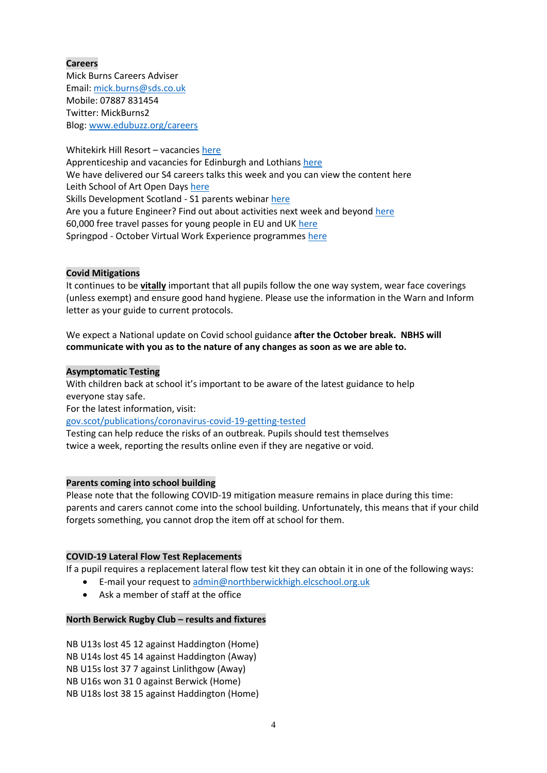# **Careers**

Mick Burns Careers Adviser Email: [mick.burns@sds.co.uk](https://mail.elcschool.org.uk/owa/redir.aspx?C=fbGa3DGVrsUoQB2CnJP23eXwMGzxu7J1CtarT6dTOwkq_NlpJujXCA..&URL=mailto%3amick.burns%40sds.co.uk) Mobile: 07887 831454 Twitter: MickBurns2 Blog: [www.edubuzz.org/careers](http://www.edubuzz.org/careers)

Whitekirk Hill Resort – vacancies [here](https://www.edubuzz.org/careers/2021/09/22/whitekirk-hill-resort-vacancies/) Apprenticeship and vacancies for Edinburgh and Lothians [here](https://www.edubuzz.org/careers/2021/10/13/vacancies-and-apprenticeships-2/) We have delivered our S4 careers talks this week and you can view the content [here](https://www.edubuzz.org/careers/2021/10/05/s4-careers-talk-september-2021/) Leith School of Art Open Days [here](https://www.edubuzz.org/careers/2021/10/13/leith-school-of-art/) Skills Development Scotland - S1 parents webinar [here](https://www.edubuzz.org/careers/2021/10/13/skills-development-scotland-s1-parents-webinar/) Are you a future Engineer? Find out about activities next week and beyon[d here](https://www.edubuzz.org/careers/2021/10/12/are-you-a-future-engineer/) 60,000 free travel passes for young people in EU and UK [here](https://www.edubuzz.org/careers/2021/10/13/60000-free-travel-passes-for-young-people-in-eu-and-uk/) Springpod - October Virtual Work Experience programmes [here](https://www.edubuzz.org/careers/2021/10/13/springpod-october-virtual-work-experience-programmes/)

#### **Covid Mitigations**

It continues to be **vitally** important that all pupils follow the one way system, wear face coverings (unless exempt) and ensure good hand hygiene. Please use the information in the Warn and Inform letter as your guide to current protocols.

We expect a National update on Covid school guidance **after the October break. NBHS will communicate with you as to the nature of any changes as soon as we are able to.**

#### **Asymptomatic Testing**

With children back at school it's important to be aware of the latest guidance to help everyone stay safe.

For the latest information, visit:

#### [gov.scot/publications/coronavirus-covid-19-getting-tested](file://///nb-server1/subjects/Admin/Diane/Weekly%20update/September%202021/gov.scot/publications/coronavirus-covid-19-getting-tested)

Testing can help reduce the risks of an outbreak. Pupils should test themselves twice a week, reporting the results online even if they are negative or void.

#### **Parents coming into school building**

Please note that the following COVID-19 mitigation measure remains in place during this time: parents and carers cannot come into the school building. Unfortunately, this means that if your child forgets something, you cannot drop the item off at school for them.

#### **COVID-19 Lateral Flow Test Replacements**

If a pupil requires a replacement lateral flow test kit they can obtain it in one of the following ways:

- E-mail your request to [admin@northberwickhigh.elcschool.org.uk](mailto:admin@northberwickhigh.elcschool.org.uk)
- Ask a member of staff at the office

#### **North Berwick Rugby Club – results and fixtures**

NB U13s lost 45 12 against Haddington (Home) NB U14s lost 45 14 against Haddington (Away) NB U15s lost 37 7 against Linlithgow (Away) NB U16s won 31 0 against Berwick (Home) NB U18s lost 38 15 against Haddington (Home)